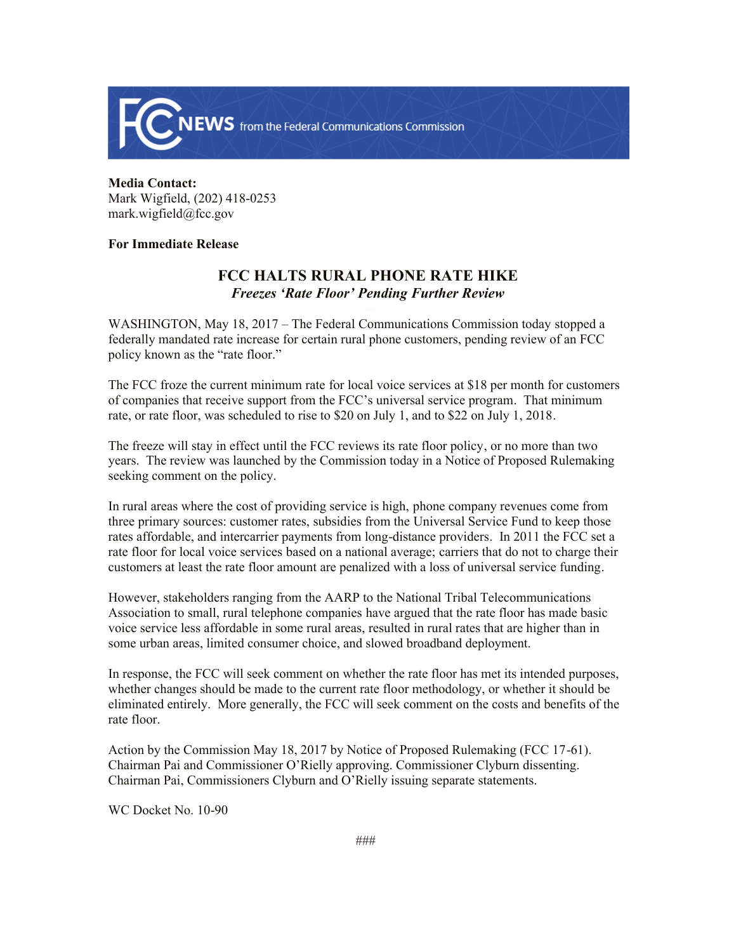

## **Media Contact:**  Mark Wigfield, (202) 418-0253 mark.wigfield@fcc.gov

## **For Immediate Release**

## **FCC HALTS RURAL PHONE RATE HIKE** *Freezes 'Rate Floor' Pending Further Review*

WASHINGTON, May 18, 2017 – The Federal Communications Commission today stopped a federally mandated rate increase for certain rural phone customers, pending review of an FCC policy known as the "rate floor."

The FCC froze the current minimum rate for local voice services at \$18 per month for customers of companies that receive support from the FCC's universal service program. That minimum rate, or rate floor, was scheduled to rise to \$20 on July 1, and to \$22 on July 1, 2018.

The freeze will stay in effect until the FCC reviews its rate floor policy, or no more than two years. The review was launched by the Commission today in a Notice of Proposed Rulemaking seeking comment on the policy.

In rural areas where the cost of providing service is high, phone company revenues come from three primary sources: customer rates, subsidies from the Universal Service Fund to keep those rates affordable, and intercarrier payments from long-distance providers. In 2011 the FCC set a rate floor for local voice services based on a national average; carriers that do not to charge their customers at least the rate floor amount are penalized with a loss of universal service funding.

However, stakeholders ranging from the AARP to the National Tribal Telecommunications Association to small, rural telephone companies have argued that the rate floor has made basic voice service less affordable in some rural areas, resulted in rural rates that are higher than in some urban areas, limited consumer choice, and slowed broadband deployment.

In response, the FCC will seek comment on whether the rate floor has met its intended purposes, whether changes should be made to the current rate floor methodology, or whether it should be eliminated entirely. More generally, the FCC will seek comment on the costs and benefits of the rate floor.

Action by the Commission May 18, 2017 by Notice of Proposed Rulemaking (FCC 17-61). Chairman Pai and Commissioner O'Rielly approving. Commissioner Clyburn dissenting. Chairman Pai, Commissioners Clyburn and O'Rielly issuing separate statements.

WC Docket No. 10-90